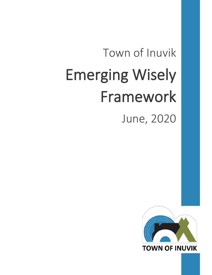# Town of Inuvik Emerging Wisely Framework

June, 2020

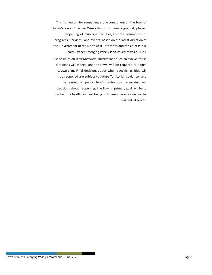This framework for reopening is one component of the Town of Inuvik's overall Emerging Wisely Plan. It outlines a gradual, phased reopening of municipal facilities, and the resumption of programs, services, and events, based on the latest direction of the Government of the Northwest Territories and the Chief Public Health Officer Emerging Wisely Plan issued May 12, 2020. Asthe situation in the Northwest Territories continues to evolve, those directions will change, and the Town will be required to adjust its own plan. Final decisions about when specific facilities will be reopened are subject to future Territorial guidance and

the easing of public health restrictions. In making final decisions about reopening, the Town's primary goal will be to protect the health and wellbeing of its employees, as well as the residents it serves.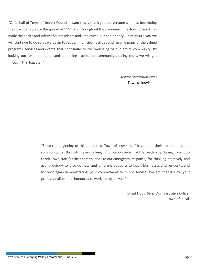"On behalf of Town of Inuvik Council, I want to say thank you to everyone who has beendoing their part to help slow the spread of COVID-19. Throughout this pandemic, the Town of Inuvik has made the health and safety of our residents and employees our top priority. I can assure you we will continue to do so as we begin to reopen municipal facilities and resume many of the valued programs, services and events that contribute to the wellbeing of our entire community. By looking out for one another and remaining true to our community's caring roots, we will get through this together."

> Mayor Natasha Kulikowski Town of Inuvik

"Since the beginning of this pandemic, Town of Inuvik staff have done their part to help our community get through these challenging times. On behalf of the Leadership Team, I want to thank Town staff for their contributions to our emergency response, for thinking creatively and acting quickly to provide new and different supports to Inuvik businesses and residents, and for once again demonstrating your commitment to public service. We are thankful for your professionalism and honoured to work alongside you."

> Grant Hood, Senior Administrative Officer Town of Inuvik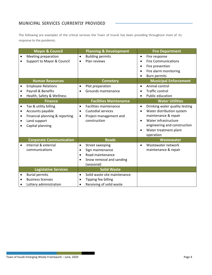## **MUNICIPAL SERVICES CURRENTLY PROVIDED**

The following are examples of the critical services the Town of Inuvik has been providing throughout most of its response to the pandemic.

|                                     | <b>Mayor &amp; Council</b>                                                                                      |                                                  | <b>Planning &amp; Development</b>                                                                    |                                                  | <b>Fire Department</b>                                                                                                                                                            |
|-------------------------------------|-----------------------------------------------------------------------------------------------------------------|--------------------------------------------------|------------------------------------------------------------------------------------------------------|--------------------------------------------------|-----------------------------------------------------------------------------------------------------------------------------------------------------------------------------------|
| $\bullet$                           | Meeting preparation<br>Support to Mayor & Council                                                               | $\bullet$<br>$\bullet$                           | <b>Building permits</b><br>Plan reviews                                                              | $\bullet$<br>$\bullet$<br>$\bullet$<br>$\bullet$ | Fire response<br><b>Fire Communications</b><br>Fire prevention<br>Fire alarm monitoring<br><b>Burn permits</b>                                                                    |
|                                     | <b>Human Resources</b>                                                                                          | $\bullet$                                        | <b>Cemetery</b>                                                                                      | $\bullet$                                        | <b>Municipal Enforcement</b><br>Animal control                                                                                                                                    |
| $\bullet$<br>$\bullet$              | <b>Employee Relations</b><br>Payroll & Benefits<br>Health, Safety & Wellness                                    | $\bullet$                                        | Plot preparation<br>Grounds maintenance                                                              | $\bullet$                                        | <b>Traffic control</b><br>Public education                                                                                                                                        |
|                                     | <b>Finance</b>                                                                                                  |                                                  | <b>Facilities Maintenance</b>                                                                        |                                                  | <b>Water Utilities</b>                                                                                                                                                            |
| $\bullet$<br>$\bullet$<br>$\bullet$ | Tax & utility billing<br>Accounts payable<br>Financial planning & reporting<br>Land support<br>Capital planning | $\bullet$<br>$\bullet$<br>$\bullet$              | <b>Facilities maintenance</b><br><b>Custodial services</b><br>Project management and<br>construction | $\bullet$<br>$\bullet$<br>$\bullet$<br>$\bullet$ | Drinking water quality testing<br>Water distribution system<br>maintenance & repair<br>Water infrastructure<br>engineering and construction<br>Water treatment plant<br>operation |
|                                     | <b>Corporate Communication</b>                                                                                  |                                                  | <b>Roads</b>                                                                                         |                                                  | Wastewater                                                                                                                                                                        |
| $\bullet$                           | Internal & external<br>communications                                                                           | $\bullet$<br>$\bullet$<br>$\bullet$<br>$\bullet$ | Street sweeping<br>Sign maintenance<br>Road maintenance<br>Snow removal and sanding<br>(seasonal)    | $\bullet$                                        | Wastewater network<br>maintenance & repair                                                                                                                                        |
|                                     | <b>Legislative Services</b>                                                                                     |                                                  | <b>Solid Waste</b>                                                                                   |                                                  |                                                                                                                                                                                   |
| $\bullet$                           | <b>Burial permits</b><br><b>Business licenses</b><br>Lottery administration                                     | $\bullet$<br>$\bullet$<br>$\bullet$              | Solid waste site maintenance<br>Tipping fee billing<br>Receiving of solid waste                      |                                                  |                                                                                                                                                                                   |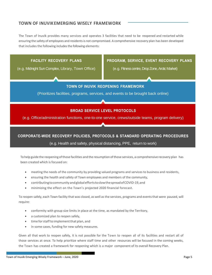## **TOWN OF INUVIKEMERGING WISELY FRAMEWORK**

The Town of Inuvik provides many services and operates 3 facilities that need to be reopened and restarted while ensuring the safety of employees and residentsis not compromised. A comprehensive recovery plan has been developed that includes the following includes the following elements:



Tohelp guide the reopening ofthose facilities and the resumption ofthose services, a comprehensive recovery plan has been created which is focused on:

- meeting the needs of the community by providing valued programs and services to business and residents,
- ensuring the health and safety of Town employees and members of the community,
- contributingtocommunityandglobaleffortstoslowthespreadofCOVID-19,and
- minimizing the effect on the Town's projected 2020 financial forecast.

To reopen safely, each Town facility that was closed, as well as the services, programs and events that were paused, will require:

- conformity with group size limits in place at the time, as mandated by the Territory,
- a customized plan to reopen safely,
- time for staff to implement that plan, and
- in some cases, funding for new safety measures.

Given all that work to reopen safely, it is not possible for the Town to reopen all of its facilities and restart all of those services at once. To help prioritize where staff time and other resources will be focused in the coming weeks, the Town has created a framework for reopening which is a major component of its overall Recovery Plan.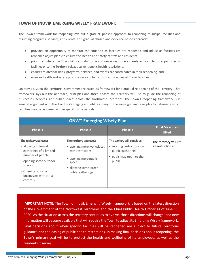### **TOWN OF INUVIK EMERGING WISELY FRAMEWORK**

The Town's framework for reopening lays out a gradual, phased approach to reopening municipal facilities and resuming programs, services, and events. This gradual phased and evidence-based approach:

- provides an opportunity to monitor the situation as facilities are reopened and adjust as facilities are reopened adjust plans to ensure the health and safety of staff and residents,
- prioritizes where the Town will focus staff time and resources to be as ready as possible to reopen specific facilities once the Territory relaxes current public health restrictions,
- ensures related facilities, programs, services, and events are coordinated in their reopening, and
- ensures health and safety protocols are applied consistently across all Town facilities.

On May 12, 2020 the Territorial Government released its [framework for a gradual re-opening of the Territory.](https://www.ontario.ca/page/framework-reopening-our-province) That framework lays out the approach, principles and three phases the Territory will use to guide the reopening of businesses, services, and public spaces across the Northwest Territories. The Town's reopening framework is in general alignment with the Territory's staging and utilizes many of the same guiding principles to determine which facilities may be reopened within specific time periods.

| <b>GNWT Emerging Wisely Plan</b>                                                                                                                                                             |                                                                                                                                                             |                                                                                                                      |                                             |  |  |
|----------------------------------------------------------------------------------------------------------------------------------------------------------------------------------------------|-------------------------------------------------------------------------------------------------------------------------------------------------------------|----------------------------------------------------------------------------------------------------------------------|---------------------------------------------|--|--|
| Phase 1                                                                                                                                                                                      | Phase 2                                                                                                                                                     | Phase 3                                                                                                              | <b>Final Measures</b><br><b>Lifted</b>      |  |  |
| The territory approved:<br>• allowing internal<br>gatherings of a limited<br>number of people<br>• opening some outdoor<br>spaces<br>• Opening of some<br>businesses with strict<br>controls | The territory approved:<br>• opening more workplaces<br>with restrictions<br>• opening more public<br>spaces<br>• allowing some larger<br>public gatherings | The territory will consider:<br>• relaxing restrictions on<br>public gatherings<br>• pools may open to the<br>public | The territory will lift<br>all restrictions |  |  |

**IMPORTANT NOTE:** The Town of Inuvik Emerging Wisely framework is based on the latest direction of the Government of the Northwest Territories and the Chief Public Health Officer as of June 11, 2020. As the situation across the territory continues to evolve, those directions will change, and new information will become available that will require the Town to adjust its Emerging Wisely framework. Final decisions about when specific facilities will be reopened are subject to future Territorial guidance and the easing of public health restrictions. In making final decisions about reopening, the Town's primary goal will be to protect the health and wellbeing of its employees, as well as the residents it serves.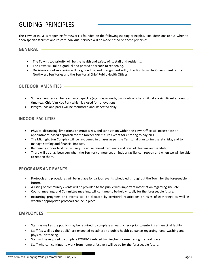# GUIDING PRINCIPLES

The Town of Inuvik's reopening framework is founded on the following guiding principles. Final decisions about when to open specific facilities and restart individual services will be made based on these principles:

#### **GENERAL**

- The Town's top priority will be the health and safety of its staff and residents.
- The Town will take a gradual and phased approach to reopening.
- Decisions about reopening will be guided by, and in alignment with, direction from the Government of the Northwest Territories and the Territorial Chief Public Health Officer.

#### **OUTDOOR AMENITIES**

- Some amenities can be reactivated quickly (e.g. playgrounds, trails) while others will take a significant amount of time (e.g. Chief Jim Koe Park which is closed for renovations).
- Playgrounds and parks will be monitored and inspected daily.

#### **INDOOR FACILITIES**

- Physical distancing, limitations on group sizes, and sanitization within the Town Office will necessitate an appointment-based approach for the foreseeable future except for entering to pay bills.
- The Midnight Sun Complex will be re-opened in phases as per the Territorial plan to limit safety risks, and to manage staffing and financial impacts.
- Reopening indoor facilities will require an increased frequency and level of cleaning and sanitation.
- There will be a lag between when the Territory announces an indoor facility can reopen and when we will be able to reopen them.

#### **PROGRAMSANDEVENTS**

- Protocols and procedures will be in place for various events scheduled throughout the Town for the foreseeable future.
- A listing of community events will be provided to the public with important information regarding size, etc.
- Council meetings and Committee meetings will continue to be held virtually for the foreseeable future.
- Restarting programs and events will be dictated by territorial restrictions on sizes of gatherings as well as whether appropriate protocols can be in place.

#### **EMPLOYEES**

- Staff (as well as the public) may be required to complete a health check prior to entering a municipal facility.
- Staff (as well as the public) are expected to adhere to public health guidance regarding hand washing and physical distancing.
- Staff will be required to complete COVID-19 related training before re-entering the workplace.
- Staff who can continue to work from home effectively will do so for the foreseeable future.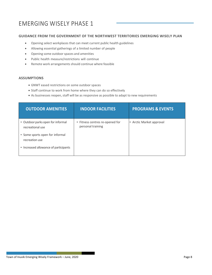# EMERGING WISELY PHASE 1

#### **GUIDANCE FROM THE GOVERNMENT OF THE NORTHWEST TERRITORIES EMERGING WISELY PLAN**

- Opening select workplaces that can meet current public health guidelines
- Allowing essential gatherings of a limited number of people
- Opening some outdoorspaces and amenities
- Public health measure/restrictions will continue
- Remote work arrangements should continue where feasible

#### **ASSUMPTIONS**

- GNWT eased restrictions on some outdoor spaces
- Staff continue to work from home where they can do so effectively
- As businesses reopen, staff will be as responsive as possible to adapt to new requirements

| <b>OUTDOOR AMENITIES</b>                              | <b>INDOOR FACILITIES</b>                             | <b>PROGRAMS &amp; EVENTS</b> |
|-------------------------------------------------------|------------------------------------------------------|------------------------------|
| • Outdoor parks open for informal<br>recreational use | • Fitness centres re-opened for<br>personal training | • Arctic Market approval     |
| • Some sports open for informal<br>recreation use     |                                                      |                              |
| • Increased allowance of participants                 |                                                      |                              |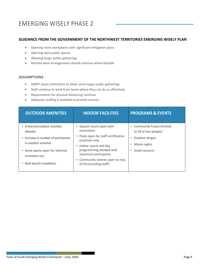## EMERGING WISELY PHASE 2

#### **GUIDANCE FROM THE GOVERNMENT OF THE NORTHWEST TERRITORIES EMERGING WISELY PLAN**

- Opening more workplaces with significant mitigation plans
- Opening more public spaces
- Allowing larger public gatherings
- Remote work arrangements should continue where feasible

#### **ASSUMPTIONS**

- GNWT eases restrictions to allow some larger public gatherings
- Staff continue to work from home where they can do so effectively
- Requirements for physical distancing continue
- Adequate staffing is available to provide services

| <b>OUTDOOR AMENITIES</b>                                                                         | <b>INDOOR FACILITIES</b>                                                                                        | <b>PROGRAMS &amp; EVENTS</b>                                       |
|--------------------------------------------------------------------------------------------------|-----------------------------------------------------------------------------------------------------------------|--------------------------------------------------------------------|
| • Enhanced outdoor activities<br>allowed                                                         | • Squash courts open with<br>restrictions                                                                       | <b>Community Feasts (limited</b><br>to 50 or less people)          |
| • Increase in number of participants<br>in outdoor activities<br>• Some sports open for informal | • Pools open for staff certification<br>purposes only<br>Indoor sports and day<br>٠<br>programming allowed with | Outdoor bingos<br>٠<br>Movie nights<br>Small concerts<br>$\bullet$ |
| recreation use<br>Boat launch installation                                                       | maximum participants<br>• Community centres open to max<br>of 50 (including staff)                              |                                                                    |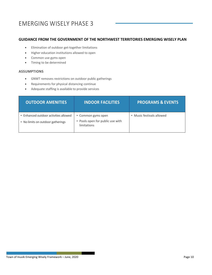# EMERGING WISELY PHASE 3

#### **GUIDANCE FROM THE GOVERNMENT OF THE NORTHWEST TERRITORIES EMERGING WISELY PLAN**

- Elimination of outdoor get-together limitations
- Higher education institutions allowed to open
- Common use gyms open
- Timing to be determined

#### **ASSUMPTIONS**

- GNWT removes restrictions on outdoor public gatherings
- Requirements for physical distancing continue
- Adequate staffing is available to provide services

| <b>OUTDOOR AMENITIES</b>                                                   | <b>INDOOR FACILITIES</b>                                              | <b>PROGRAMS &amp; EVENTS</b> |
|----------------------------------------------------------------------------|-----------------------------------------------------------------------|------------------------------|
| • Enhanced outdoor activities allowed<br>• No limits on outdoor gatherings | • Common gyms open<br>• Pools open for public use with<br>limitations | • Music festivals allowed    |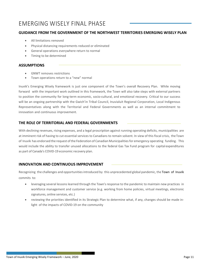## EMERGING WISELY FINAL PHASE

#### **GUIDANCE FROM THE GOVERNMENT OF THE NORTHWEST TERRITORIES EMERGING WISELY PLAN**

- All limitations removed
- Physical distancing requirements reduced or eliminated
- General operations everywhere return to normal
- Timing to be determined

#### **ASSUMPTIONS**

- GNWT removes restrictions
- Town operations return to a "new" normal

Inuvik's Emerging Wisely framework is just one component of the Town's overall Recovery Plan. While moving forward with the important work outlined in this framework, the Town will also take steps with external partners to position the community for long-term economic, socio-cultural, and emotional recovery. Critical to our success will be an ongoing partnership with the Gwich'in Tribal Council, Inuvialuit Regional Corporation, Local Indigenous Representatives along with the Territorial and Federal Governments as well as an internal commitment to innovation and continuous improvement.

#### **THE ROLE OF TERRITORIAL AND FEDERAL GOVERNMENTS**

With declining revenues, rising expenses, and a legal proscription against running operating deficits, municipalities are at imminent risk of having to cut essential services to Canadians to remain solvent. In view of this fiscal crisis, theTown of Inuvik has endorsed the request ofthe Federation of Canadian Municipalitiesfor emergency operating funding. This would include the ability to transfer unused allocations to the federal Gas Tax Fund program for capital expenditures as part of Canada's COVID-19 economic recovery plan.

#### **INNOVATION AND CONTINUOUS IMPROVEMENT**

Recognizing the challenges and opportunities introduced by this unprecedented global pandemic, the Town of Inuvik commits to:

- leveraging several lessons learned through the Town's response to the pandemic to maintain new practices in workforce management and customer service (e.g. working from home policies, virtual meetings, electronic signatures, online services, etc.)
- reviewing the priorities identified in its Strategic Plan to determine what, if any, changes should be made inlight of the impacts of COVID-19 on the community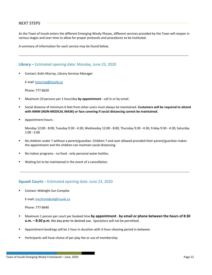#### **NEXT STEPS**

As the Town of Inuvik enters the different Emerging Wisely Phases, different services provided by the Town will reopen in various stages and over time to allow for proper protocols and procedures to be instituted.

A summary of information for each service may be found below.

#### **Library –** Estimated opening date: Monday, June 23, 2020

Contact: Kolin Murray, Library Services Manager

E-mail: [kmurray@inuvik.ca](mailto:kmurray@inuvik.ca)

Phone: 777-8620

- Maximum 10 persons per 1 hour/day **by appointment** call in or by email.
- Social distance of minimum 6 feet from other users must always be maintained. **Customers will be required to attend with NMM (NON-MEDICAL MASK) or face covering if social distancing cannot be maintained.**
- Appointment hours:

Monday 12:00 - 8:00, Tuesday 9:30 - 4:30, Wednesday 12:00 - 8:00, Thursday 9:30 - 4:30, Friday 9:30 - 4:30, Saturday 1:00 - 5:00

- No children under 7 without a parent/guardian. Children 7 and over allowed provided their parent/guardian makes the appointment and the children can maintain social distancing.
- No indoor programs no food only personal water bottles.
- Waiting list to be maintained in the event of a cancellation.

#### **Squash Courts** – Estimated opening date: June 23, 2020

Contact: Midnight Sun Complex

E-mail: [mscfrontdesk@inuvik.ca](mailto:mscfrontdesk@inuvik.ca)

Phone: 777-8640

- Maximum 1 person per court per booked time **by appointment by email or phone between the hours of 8:30 a.m. – 8:30 p.m. the day prior to desired use.** Spectators will not be permitted.
- Appointment bookings will be 1 hour in duration with ½ hour cleaning period in between.
- Participants will have choice of per play fee or use of membership.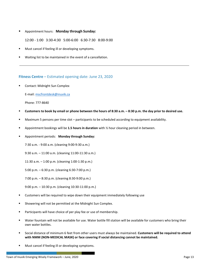Appointment hours: **Monday through Sunday:**

12:00 - 1:00 3:30-4:30 5:00-6:00 6:30-7:30 8:00-9:00

- Must cancel if feeling ill or developing symptoms.
- Waiting list to be maintained in the event of a cancellation.

#### **Fitness Centre** – Estimated opening date: June 23, 2020

Contact: Midnight Sun Complex

E-mail: [mscfrontdesk@inuvik.ca](mailto:mscfrontdesk@inuvik.ca)

Phone: 777-8640

- **Customers to book by email or phone between the hours of 8:30 a.m. – 8:30 p.m. the day prior to desired use.**
- Maximum 5 persons per time slot participants to be scheduled according to equipment availability.
- Appointment bookings will be **1.5 hours in duration** with ½ hour cleaning period in between.
- Appointment periods: **Monday through Sunday:**

7:30 a.m. - 9:00 a.m. (cleaning 9:00-9:30 a.m.)

9:30 a.m. – 11:00 a.m. (cleaning 11:00-11:30 a.m.)

11:30 a.m. – 1:00 p.m. (cleaning 1:00-1:30 p.m.)

5:00 p.m. – 6:30 p.m. (cleaning 6:30-7:00 p.m.)

7:00 p.m. – 8:30 p.m. (cleaning 8:30-9:00 p.m.)

9:00 p.m. – 10:30 p.m. (cleaning 10:30-11:00 p.m.)

- Customers will be required to wipe down their equipment immediately following use
- Showering will not be permitted at the Midnight Sun Complex.
- Participants will have choice of per play fee or use of membership.
- Water fountain will not be available for use. Water bottle fill station will be available for customers who bring their own water bottles.
- Social distance of minimum 6 feet from other users must always be maintained. **Customers will be required to attend with NMM (NON-MEDICAL MASK) or face covering if social distancing cannot be maintained.**
- Must cancel if feeling ill or developing symptoms.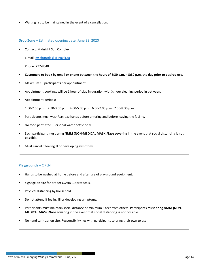Waiting list to be maintained in the event of a cancellation.

#### **Drop Zone** – Estimated opening date: June 23, 2020

Contact: Midnight Sun Complex

E-mail: [mscfrontdesk@inuvik.ca](mailto:mscfrontdesk@inuvik.ca)

Phone: 777-8640

- **Customers to book by email or phone between the hours of 8:30 a.m. – 8:30 p.m. the day prior to desired use.**
- Maximum 15 participants per appointment.
- Appointment bookings will be 1 hour of play in duration with ½ hour cleaning period in between.
- **Appointment periods:**

1:00-2:00 p.m. 2:30-3:30 p.m. 4:00-5:00 p.m. 6:00-7:00 p.m. 7:30-8:30 p.m.

- Participants must wash/sanitize hands before entering and before leaving the facility.
- No food permitted. Personal water bottle only.
- Each participant **must bring NMM (NON-MEDICAL MASK)/face covering** in the event that social distancing is not possible.
- Must cancel if feeling ill or developing symptoms.

#### **Playgrounds** – OPEN

- Hands to be washed at home before and after use of playground equipment.
- Signage on site for proper COVID-19 protocols.
- **Physical distancing by household**
- Do not attend if feeling ill or developing symptoms.
- **Participants must maintain social distance of minimum 6 feet from others. Participants must bring NMM (NON-MEDICAL MASK)/face covering** in the event that social distancing is not possible.
- No hand sanitizer on site. Responsibility lies with participants to bring their own to use.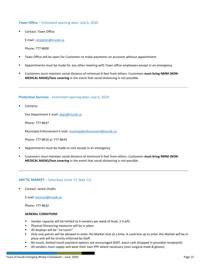#### **Town Office** – Estimated opening date: July 6, 2020

Contact: Town Office

E-mail: [reception@inuvik.ca](mailto:reception@inuvik.ca)

Phone: 777-8600

- Town Office will be open for Customers to make payments on accounts without appointment.
- Appointments must be made for any other meeting with Town office employees except in an emergency.
- Customers must maintain social distance of minimum 6 feet from others. Customers **must bring NMM (NON-MEDICAL MASK)/face covering** in the event that social distancing is not possible.

#### **Protective Services** – Estimated opening date: July 6, 2020

Contacts:

Fire Department E-mail[: dops@inuvik.ca](mailto:dops@inuvik.ca)

Phone: 777-8637

Municipal Enforcement E-mail[: municipalenforecment@inuvik.ca](mailto:municipalenforecment@inuvik.ca)

Phone: 777-8616 or 777-8624

- Appointments must be made to visit except in an emergency.
- **EXECUTE: Customers must maintain social distance of minimum 6 feet from others. Customers must bring NMM (NON-MEDICAL MASK)/face covering** in the event that social distancing is not possible.

#### **ARCTIC MARKET** – Saturdays (June 21-Sept 12)

Contact: Jackie Challis

E-mail: [tourism@inuvik.ca](mailto:tourism@inuvik.ca)

Phone: 777-8632

#### **GENERAL CONDITIONS**

- Vendor capacity will be limited to 6 vendors per week (4 food, 2 Craft)
- Physical Distancing measures will be in place
- All displays will be "no touch"
- Only one patron will be allowed to enter the Market tent at a time. A cued line up to enter the Market will be in place and will be strictly enforced by Staff.
- No touch, limited touch payment options are encouraged (EMT, exact cash dropped in provided receptacle)
- All vendors must supply and wear their own PPE where necessary (non-surgical mask & gloves)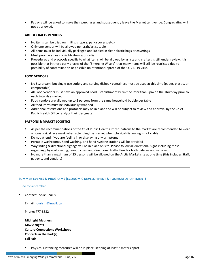Patrons will be asked to make their purchases and subsequently leave the Market tent venue. Congregating will not be allowed.

#### **ARTS & CRAFTS VENDORS**

- No items can be tried on (mitts, slippers, parka covers, etc.)
- Only one vendor will be allowed per craft/artist table
- All items must be individually packaged and labeled in clear plastic bags or coverings
- Must provide an easily visible item & price list
- Procedures and protocols specific to what items will be allowed by artists and crafters is still under review. It is possible that in these early phases of the "Emerging Wisely" that many items will still be restricted due to possibility of contamination or possible unintentional spread of the COVID-19 virus

#### **FOOD VENDORS**

- No Styrofoam, but single-use cutlery and serving dishes / containers must be used at this time (paper, plastic, or compostable)
- All Food Vendors must have an approved Food Establishment Permit no later than 5pm on the Thursday prior to each Saturday market
- Food vendors are allowed up to 2 persons from the same household bubble per table
- All food items must be individually wrapped
- Additional restrictions and protocols may be in place and will be subject to review and approval by the Chief Public Health Officer and/or their designate

#### **PATRONS & MARKET LOGISTICS**

- As per the recommendations of the Chief Public Health Officer, patrons to the market are recommended to wear a non-surgical face mask when attending the market when physical distancing is not viable
- Do not attend if you are feeling ill or displaying any symptoms
- Portable washrooms, hand washing, and hand hygiene stations will be provided
- Wayfinding & directional signage will be in place on site. Please follow all directional signs including those regarding physical spacing, line-up cues, and directional traffic flow for both patrons and vehicles
- No more than a maximum of 25 persons will be allowed on the Arctic Market site at one time (this includes Staff, patrons, and vendors)

#### **SUMMER EVENTS & PROGRAMS (ECONOMIC DEVELOPMENT & TOURISM DEPARTMENT)**

#### June to September

Contact: Jackie Challis

E-mail: [tourism@inuvik.ca](mailto:tourism@inuvik.ca)

Phone: 777-8632

**Midnight Madness Movie Nights Culture Connections Workshops Concerts in the Park(s) Fall Fair**

Physical Distancing measures will be in place, keeping at least 2 meters apart